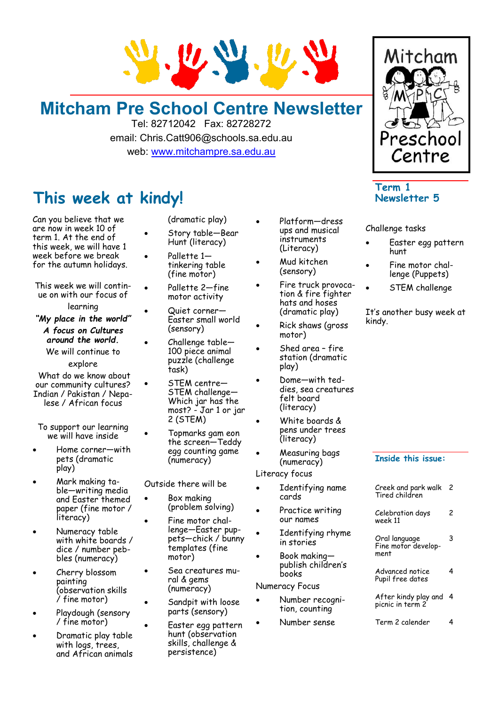

### **Mitcham Pre School Centre Newsletter**

Tel: 82712042 Fax: 82728272 email: Chris.Catt906@schools.sa.edu.au web: [www.mitchampre.sa.edu.au](http://www.mitchampre.sa.edu.au/) 

### **This week at kindy!**

Can you believe that we are now in week 10 of term 1. At the end of this week, we will have 1 week before we break for the autumn holidays.

This week we will continue on with our focus of learning

*"My place in the world"*

*A focus on Cultures around the world.*

We will continue to explore

What do we know about our community cultures? Indian / Pakistan / Nepalese / African focus

To support our learning we will have inside

- Home corner—with pets (dramatic play)
- Mark making table—writing media and Easter themed paper (fine motor / literacy)
- Numeracy table with white boards / dice / number pebbles (numeracy)
- Cherry blossom painting (observation skills / fine motor)
- Playdough (sensory / fine motor)
- Dramatic play table with logs, trees, and African animals
- (dramatic play)
- Story table—Bear Hunt (literacy)
- Pallette 1tinkering table (fine motor)
- Pallette 2-fine motor activity
- Quiet corner— Easter small world (sensory)
- Challenge table— 100 piece animal puzzle (challenge task)
- STEM centre— STEM challenge— Which jar has the most? - Jar 1 or jar 2 (STEM)
- Topmarks gam eon the screen—Teddy egg counting game (numeracy)

Outside there will be

- Box making (problem solving)
- Fine motor challenge—Easter puppets—chick / bunny templates (fine motor)
- Sea creatures mural & gems (numeracy)
	- Sandpit with loose parts (sensory)
- Easter egg pattern hunt (observation skills, challenge & persistence)
- Platform-dress ups and musical instruments (Literacy)
- Mud kitchen (sensory)
- Fire truck provocation & fire fighter hats and hoses (dramatic play)
- Rick shaws (gross motor)
- Shed area fire station (dramatic play)
- Dome—with teddies, sea creatures felt board (literacy)
- White boards & pens under trees (literacy)
- Measuring bags (numeracy)

Literacy focus

- Identifying name cards
- Practice writing our names
- Identifying rhyme in stories
- Book making publish children's books

Numeracy Focus

- Number recognition, counting
- Number sense

# Preschool Centre **Term 1**

Mitcham

**Newsletter 5**

#### Challenge tasks

- Easter egg pattern hunt
- Fine motor challenge (Puppets)
- STEM challenge

It's another busy week at kindy.

#### **Inside this issue:**

| Creek and park walk<br>Tired children        | 2 |
|----------------------------------------------|---|
| Celebration days<br>week 11                  | 2 |
| Oral language<br>Fine motor develop-<br>ment |   |
| Advanced notice<br>Pupil free dates          |   |
|                                              |   |

After kindy play and 4 picnic in term 2

Term 2 calender 4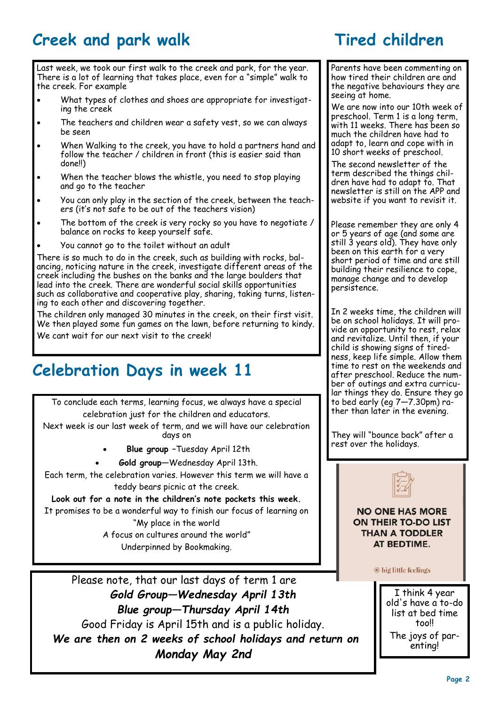# **Creek and park walk Tired children**

Last week, we took our first walk to the creek and park, for the year. There is a lot of learning that takes place, even for a "simple" walk to the creek. For example

- What types of clothes and shoes are appropriate for investigating the creek
- The teachers and children wear a safety vest, so we can always be seen
- When Walking to the creek, you have to hold a partners hand and follow the teacher / children in front (this is easier said than done!!)
- When the teacher blows the whistle, you need to stop playing and go to the teacher
- You can only play in the section of the creek, between the teachers (it's not safe to be out of the teachers vision)
- The bottom of the creek is very rocky so you have to negotiate / balance on rocks to keep yourself safe.
- You cannot go to the toilet without an adult

There is so much to do in the creek, such as building with rocks, balancing, noticing nature in the creek, investigate different areas of the creek including the bushes on the banks and the large boulders that lead into the creek. There are wonderful social skills opportunities such as collaborative and cooperative play, sharing, taking turns, listening to each other and discovering together.

The children only managed 30 minutes in the creek, on their first visit. We then played some fun games on the lawn, before returning to kindy. We cant wait for our next visit to the creek!

# **Celebration Days in week 11**

To conclude each terms, learning focus, we always have a special celebration just for the children and educators.

Next week is our last week of term, and we will have our celebration days on

- **Blue group –**Tuesday April 12th
- **Gold group—**Wednesday April 13th.

Each term, the celebration varies. However this term we will have a teddy bears picnic at the creek.

#### **Look out for a note in the children's note pockets this week.**

It promises to be a wonderful way to finish our focus of learning on "My place in the world

> A focus on cultures around the world" Underpinned by Bookmaking.

Please note, that our last days of term 1 are *Gold Group—Wednesday April 13th Blue group—Thursday April 14th* Good Friday is April 15th and is a public holiday. *We are then on 2 weeks of school holidays and return on Monday May 2nd*

Parents have been commenting on how tired their children are and the negative behaviours they are seeing at home.

We are now into our 10th week of preschool. Term 1 is a long term, with 11 weeks. There has been so much the children have had to adapt to, learn and cope with in 10 short weeks of preschool.

The second newsletter of the term described the things children have had to adapt to. That newsletter is still on the APP and website if you want to revisit it.

Please remember they are only 4 or 5 years of age (and some are still 3 years old). They have only been on this earth for a very short period of time and are still building their resilience to cope, manage change and to develop persistence.

In 2 weeks time, the children will be on school holidays. It will provide an opportunity to rest, relax and revitalize. Until then, if your child is showing signs of tiredness, keep life simple. Allow them time to rest on the weekends and after preschool. Reduce the number of outings and extra curricular things they do. Ensure they go to bed early (eg 7—7.30pm) rather than later in the evening.

They will "bounce back" after a rest over the holidays.

**NO ONE HAS MORE** ON THEIR TO-DO LIST **THAN A TODDLER** AT BEDTIME.

big little feelings

I think 4 year old's have a to-do list at bed time too!! The joys of parenting!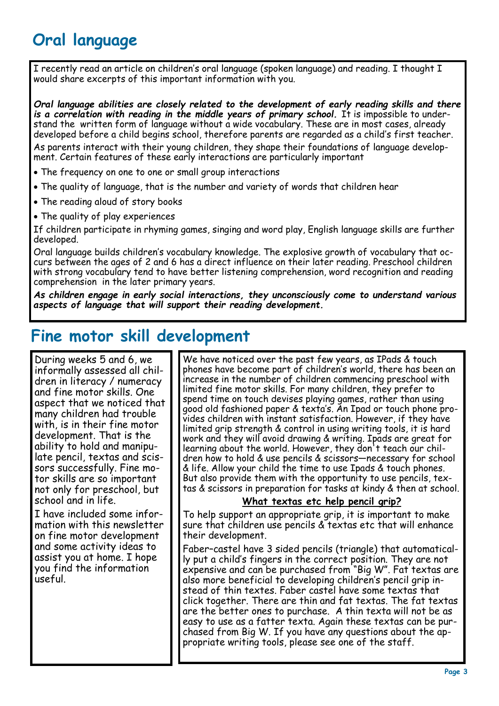# **Oral language**

I recently read an article on children's oral language (spoken language) and reading. I thought I would share excerpts of this important information with you.

*Oral language abilities are closely related to the development of early reading skills and there is a correlation with reading in the middle years of primary school.* It is impossible to understand the written form of language without a wide vocabulary. These are in most cases, already developed before a child begins school, therefore parents are regarded as a child's first teacher. As parents interact with their young children, they shape their foundations of language development. Certain features of these early interactions are particularly important

- The frequency on one to one or small group interactions
- The quality of language, that is the number and variety of words that children hear
- The reading aloud of story books
- The quality of play experiences

If children participate in rhyming games, singing and word play, English language skills are further developed.

Oral language builds children's vocabulary knowledge. The explosive growth of vocabulary that occurs between the ages of 2 and 6 has a direct influence on their later reading. Preschool children with strong vocabulary tend to have better listening comprehension, word recognition and reading comprehension in the later primary years.

*As children engage in early social interactions, they unconsciously come to understand various aspects of language that will support their reading development.*

### **Fine motor skill development**

During weeks 5 and 6, we informally assessed all children in literacy / numeracy and fine motor skills. One aspect that we noticed that many children had trouble with, is in their fine motor development. That is the ability to hold and manipulate pencil, textas and scissors successfully. Fine motor skills are so important not only for preschool, but school and in life.

I have included some information with this newsletter on fine motor development and some activity ideas to assist you at home. I hope you find the information useful.

We have noticed over the past few years, as IPads & touch phones have become part of children's world, there has been an increase in the number of children commencing preschool with limited fine motor skills. For many children, they prefer to spend time on touch devises playing games, rather than using good old fashioned paper & texta's. An Ipad or touch phone provides children with instant satisfaction. However, if they have limited grip strength & control in using writing tools, it is hard work and they will avoid drawing & writing. Ipads are great for learning about the world. However, they don't teach our children how to hold & use pencils & scissors—necessary for school & life. Allow your child the time to use Ipads & touch phones. But also provide them with the opportunity to use pencils, textas & scissors in preparation for tasks at kindy & then at school.

### **What textas etc help pencil grip?**

To help support an appropriate grip, it is important to make sure that children use pencils & textas etc that will enhance their development.

Faber–castel have 3 sided pencils (triangle) that automatically put a child's fingers in the correct position. They are not expensive and can be purchased from "Big W". Fat textas are also more beneficial to developing children's pencil grip instead of thin textes. Faber castel have some textas that click together. There are thin and fat textas. The fat textas are the better ones to purchase. A thin texta will not be as easy to use as a fatter texta. Again these textas can be purchased from Big W. If you have any questions about the appropriate writing tools, please see one of the staff.